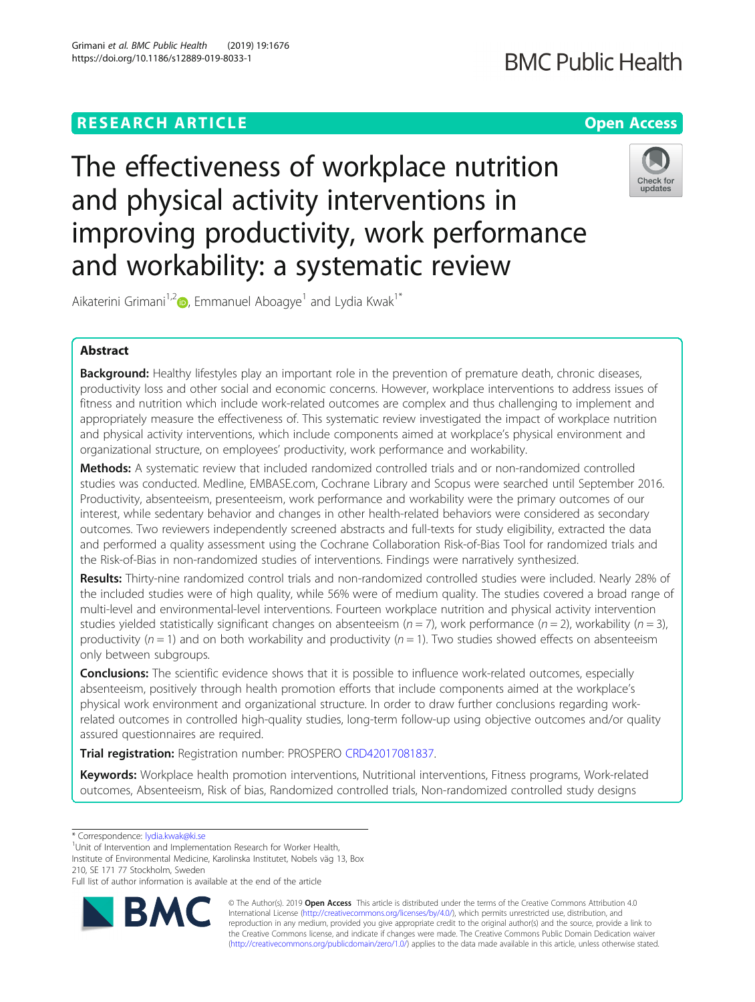The effectiveness of workplace nutrition and physical activity interventions in improving productivity, work performance and workability: a systematic review



Aikaterini Grimani<sup>1,2</sup> <sub>(b)</sub>, Emmanuel Aboagye<sup>1</sup> and Lydia Kwak<sup>1\*</sup>

# Abstract

Background: Healthy lifestyles play an important role in the prevention of premature death, chronic diseases, productivity loss and other social and economic concerns. However, workplace interventions to address issues of fitness and nutrition which include work-related outcomes are complex and thus challenging to implement and appropriately measure the effectiveness of. This systematic review investigated the impact of workplace nutrition and physical activity interventions, which include components aimed at workplace's physical environment and organizational structure, on employees' productivity, work performance and workability.

Methods: A systematic review that included randomized controlled trials and or non-randomized controlled studies was conducted. Medline, EMBASE.com, Cochrane Library and Scopus were searched until September 2016. Productivity, absenteeism, presenteeism, work performance and workability were the primary outcomes of our interest, while sedentary behavior and changes in other health-related behaviors were considered as secondary outcomes. Two reviewers independently screened abstracts and full-texts for study eligibility, extracted the data and performed a quality assessment using the Cochrane Collaboration Risk-of-Bias Tool for randomized trials and the Risk-of-Bias in non-randomized studies of interventions. Findings were narratively synthesized.

Results: Thirty-nine randomized control trials and non-randomized controlled studies were included. Nearly 28% of the included studies were of high quality, while 56% were of medium quality. The studies covered a broad range of multi-level and environmental-level interventions. Fourteen workplace nutrition and physical activity intervention studies yielded statistically significant changes on absenteeism ( $n = 7$ ), work performance ( $n = 2$ ), workability ( $n = 3$ ), productivity ( $n = 1$ ) and on both workability and productivity ( $n = 1$ ). Two studies showed effects on absenteeism only between subgroups.

**Conclusions:** The scientific evidence shows that it is possible to influence work-related outcomes, especially absenteeism, positively through health promotion efforts that include components aimed at the workplace's physical work environment and organizational structure. In order to draw further conclusions regarding workrelated outcomes in controlled high-quality studies, long-term follow-up using objective outcomes and/or quality assured questionnaires are required.

Trial registration: Registration number: PROSPERO [CRD42017081837](https://www.crd.york.ac.uk/prospero/display_record.php?ID=CRD42017081837).

Keywords: Workplace health promotion interventions, Nutritional interventions, Fitness programs, Work-related outcomes, Absenteeism, Risk of bias, Randomized controlled trials, Non-randomized controlled study designs

<sup>1</sup>Unit of Intervention and Implementation Research for Worker Health,

Institute of Environmental Medicine, Karolinska Institutet, Nobels väg 13, Box 210, SE 171 77 Stockholm, Sweden

Full list of author information is available at the end of the article



© The Author(s). 2019 **Open Access** This article is distributed under the terms of the Creative Commons Attribution 4.0 International License [\(http://creativecommons.org/licenses/by/4.0/](http://creativecommons.org/licenses/by/4.0/)), which permits unrestricted use, distribution, and reproduction in any medium, provided you give appropriate credit to the original author(s) and the source, provide a link to the Creative Commons license, and indicate if changes were made. The Creative Commons Public Domain Dedication waiver [\(http://creativecommons.org/publicdomain/zero/1.0/](http://creativecommons.org/publicdomain/zero/1.0/)) applies to the data made available in this article, unless otherwise stated.

<sup>\*</sup> Correspondence: [lydia.kwak@ki.se](mailto:lydia.kwak@ki.se) <sup>1</sup>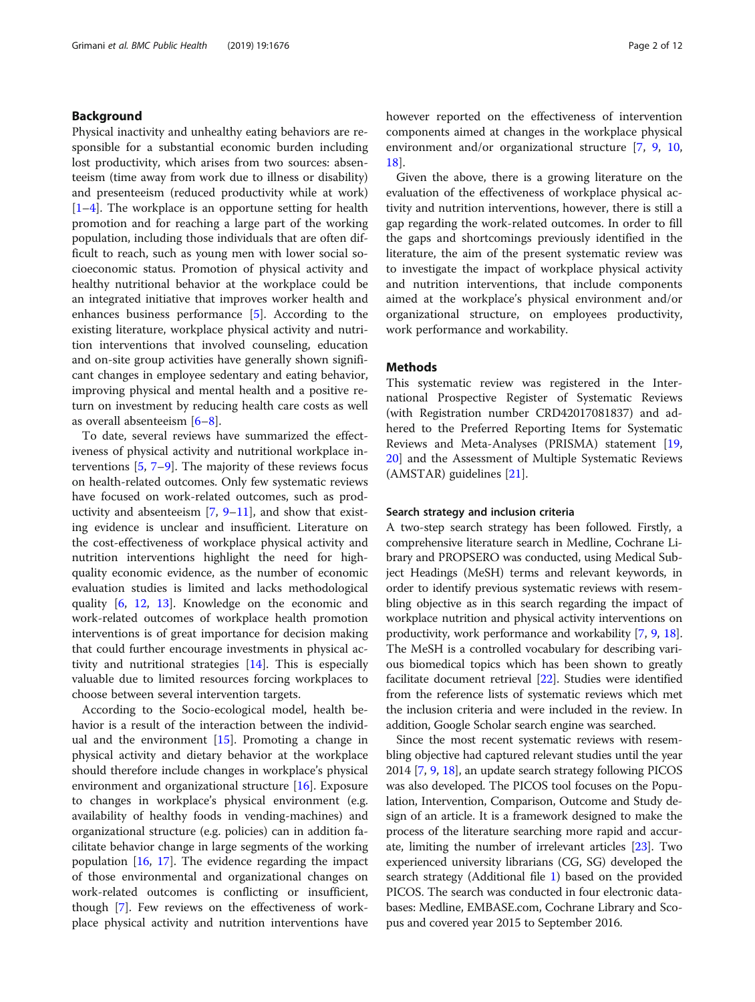# Background

Physical inactivity and unhealthy eating behaviors are responsible for a substantial economic burden including lost productivity, which arises from two sources: absenteeism (time away from work due to illness or disability) and presenteeism (reduced productivity while at work) [[1](#page-10-0)–[4\]](#page-10-0). The workplace is an opportune setting for health promotion and for reaching a large part of the working population, including those individuals that are often difficult to reach, such as young men with lower social socioeconomic status. Promotion of physical activity and healthy nutritional behavior at the workplace could be an integrated initiative that improves worker health and enhances business performance [[5\]](#page-10-0). According to the existing literature, workplace physical activity and nutrition interventions that involved counseling, education and on-site group activities have generally shown significant changes in employee sedentary and eating behavior, improving physical and mental health and a positive return on investment by reducing health care costs as well as overall absenteeism [[6](#page-10-0)–[8](#page-10-0)].

To date, several reviews have summarized the effectiveness of physical activity and nutritional workplace interventions  $[5, 7-9]$  $[5, 7-9]$  $[5, 7-9]$  $[5, 7-9]$  $[5, 7-9]$  $[5, 7-9]$ . The majority of these reviews focus on health-related outcomes. Only few systematic reviews have focused on work-related outcomes, such as productivity and absenteeism  $[7, 9-11]$  $[7, 9-11]$  $[7, 9-11]$  $[7, 9-11]$  $[7, 9-11]$  $[7, 9-11]$ , and show that existing evidence is unclear and insufficient. Literature on the cost-effectiveness of workplace physical activity and nutrition interventions highlight the need for highquality economic evidence, as the number of economic evaluation studies is limited and lacks methodological quality [\[6](#page-10-0), [12,](#page-10-0) [13](#page-10-0)]. Knowledge on the economic and work-related outcomes of workplace health promotion interventions is of great importance for decision making that could further encourage investments in physical activity and nutritional strategies [[14\]](#page-10-0). This is especially valuable due to limited resources forcing workplaces to choose between several intervention targets.

According to the Socio-ecological model, health behavior is a result of the interaction between the individual and the environment  $[15]$  $[15]$  $[15]$ . Promoting a change in physical activity and dietary behavior at the workplace should therefore include changes in workplace's physical environment and organizational structure [\[16](#page-10-0)]. Exposure to changes in workplace's physical environment (e.g. availability of healthy foods in vending-machines) and organizational structure (e.g. policies) can in addition facilitate behavior change in large segments of the working population [[16,](#page-10-0) [17\]](#page-10-0). The evidence regarding the impact of those environmental and organizational changes on work-related outcomes is conflicting or insufficient, though [[7\]](#page-10-0). Few reviews on the effectiveness of workplace physical activity and nutrition interventions have however reported on the effectiveness of intervention components aimed at changes in the workplace physical environment and/or organizational structure [\[7](#page-10-0), [9](#page-10-0), [10](#page-10-0), [18\]](#page-10-0).

Given the above, there is a growing literature on the evaluation of the effectiveness of workplace physical activity and nutrition interventions, however, there is still a gap regarding the work-related outcomes. In order to fill the gaps and shortcomings previously identified in the literature, the aim of the present systematic review was to investigate the impact of workplace physical activity and nutrition interventions, that include components aimed at the workplace's physical environment and/or organizational structure, on employees productivity, work performance and workability.

# Methods

This systematic review was registered in the International Prospective Register of Systematic Reviews (with Registration number CRD42017081837) and adhered to the Preferred Reporting Items for Systematic Reviews and Meta-Analyses (PRISMA) statement [[19](#page-10-0), [20\]](#page-10-0) and the Assessment of Multiple Systematic Reviews (AMSTAR) guidelines [[21](#page-10-0)].

## Search strategy and inclusion criteria

A two-step search strategy has been followed. Firstly, a comprehensive literature search in Medline, Cochrane Library and PROPSERO was conducted, using Medical Subject Headings (MeSH) terms and relevant keywords, in order to identify previous systematic reviews with resembling objective as in this search regarding the impact of workplace nutrition and physical activity interventions on productivity, work performance and workability [[7,](#page-10-0) [9,](#page-10-0) [18](#page-10-0)]. The MeSH is a controlled vocabulary for describing various biomedical topics which has been shown to greatly facilitate document retrieval [\[22](#page-10-0)]. Studies were identified from the reference lists of systematic reviews which met the inclusion criteria and were included in the review. In addition, Google Scholar search engine was searched.

Since the most recent systematic reviews with resembling objective had captured relevant studies until the year 2014 [[7,](#page-10-0) [9](#page-10-0), [18\]](#page-10-0), an update search strategy following PICOS was also developed. The PICOS tool focuses on the Population, Intervention, Comparison, Outcome and Study design of an article. It is a framework designed to make the process of the literature searching more rapid and accurate, limiting the number of irrelevant articles [\[23\]](#page-10-0). Two experienced university librarians (CG, SG) developed the search strategy (Additional file [1](#page-9-0)) based on the provided PICOS. The search was conducted in four electronic databases: Medline, EMBASE.com, Cochrane Library and Scopus and covered year 2015 to September 2016.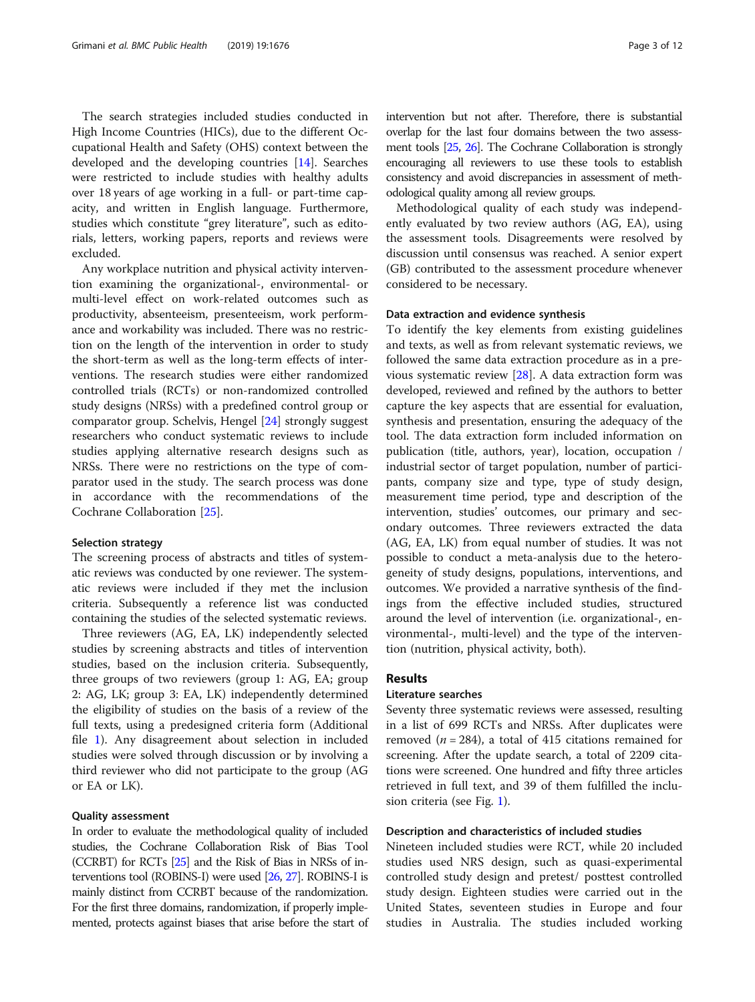The search strategies included studies conducted in High Income Countries (HICs), due to the different Occupational Health and Safety (OHS) context between the developed and the developing countries [\[14\]](#page-10-0). Searches were restricted to include studies with healthy adults over 18 years of age working in a full- or part-time capacity, and written in English language. Furthermore, studies which constitute "grey literature", such as editorials, letters, working papers, reports and reviews were excluded.

Any workplace nutrition and physical activity intervention examining the organizational-, environmental- or multi-level effect on work-related outcomes such as productivity, absenteeism, presenteeism, work performance and workability was included. There was no restriction on the length of the intervention in order to study the short-term as well as the long-term effects of interventions. The research studies were either randomized controlled trials (RCTs) or non-randomized controlled study designs (NRSs) with a predefined control group or comparator group. Schelvis, Hengel [[24\]](#page-10-0) strongly suggest researchers who conduct systematic reviews to include studies applying alternative research designs such as NRSs. There were no restrictions on the type of comparator used in the study. The search process was done in accordance with the recommendations of the Cochrane Collaboration [[25\]](#page-10-0).

## Selection strategy

The screening process of abstracts and titles of systematic reviews was conducted by one reviewer. The systematic reviews were included if they met the inclusion criteria. Subsequently a reference list was conducted containing the studies of the selected systematic reviews.

Three reviewers (AG, EA, LK) independently selected studies by screening abstracts and titles of intervention studies, based on the inclusion criteria. Subsequently, three groups of two reviewers (group 1: AG, EA; group 2: AG, LK; group 3: EA, LK) independently determined the eligibility of studies on the basis of a review of the full texts, using a predesigned criteria form (Additional file [1](#page-9-0)). Any disagreement about selection in included studies were solved through discussion or by involving a third reviewer who did not participate to the group (AG or EA or LK).

#### Quality assessment

In order to evaluate the methodological quality of included studies, the Cochrane Collaboration Risk of Bias Tool (CCRBT) for RCTs [\[25\]](#page-10-0) and the Risk of Bias in NRSs of interventions tool (ROBINS-I) were used [[26,](#page-10-0) [27\]](#page-10-0). ROBINS-I is mainly distinct from CCRBT because of the randomization. For the first three domains, randomization, if properly implemented, protects against biases that arise before the start of intervention but not after. Therefore, there is substantial overlap for the last four domains between the two assessment tools [[25,](#page-10-0) [26](#page-10-0)]. The Cochrane Collaboration is strongly encouraging all reviewers to use these tools to establish consistency and avoid discrepancies in assessment of methodological quality among all review groups.

Methodological quality of each study was independently evaluated by two review authors (AG, EA), using the assessment tools. Disagreements were resolved by discussion until consensus was reached. A senior expert (GB) contributed to the assessment procedure whenever considered to be necessary.

# Data extraction and evidence synthesis

To identify the key elements from existing guidelines and texts, as well as from relevant systematic reviews, we followed the same data extraction procedure as in a previous systematic review [\[28](#page-10-0)]. A data extraction form was developed, reviewed and refined by the authors to better capture the key aspects that are essential for evaluation, synthesis and presentation, ensuring the adequacy of the tool. The data extraction form included information on publication (title, authors, year), location, occupation / industrial sector of target population, number of participants, company size and type, type of study design, measurement time period, type and description of the intervention, studies' outcomes, our primary and secondary outcomes. Three reviewers extracted the data (AG, EA, LK) from equal number of studies. It was not possible to conduct a meta-analysis due to the heterogeneity of study designs, populations, interventions, and outcomes. We provided a narrative synthesis of the findings from the effective included studies, structured around the level of intervention (i.e. organizational-, environmental-, multi-level) and the type of the intervention (nutrition, physical activity, both).

## Results

## Literature searches

Seventy three systematic reviews were assessed, resulting in a list of 699 RCTs and NRSs. After duplicates were removed ( $n = 284$ ), a total of 415 citations remained for screening. After the update search, a total of 2209 citations were screened. One hundred and fifty three articles retrieved in full text, and 39 of them fulfilled the inclusion criteria (see Fig. [1](#page-3-0)).

## Description and characteristics of included studies

Nineteen included studies were RCT, while 20 included studies used NRS design, such as quasi-experimental controlled study design and pretest/ posttest controlled study design. Eighteen studies were carried out in the United States, seventeen studies in Europe and four studies in Australia. The studies included working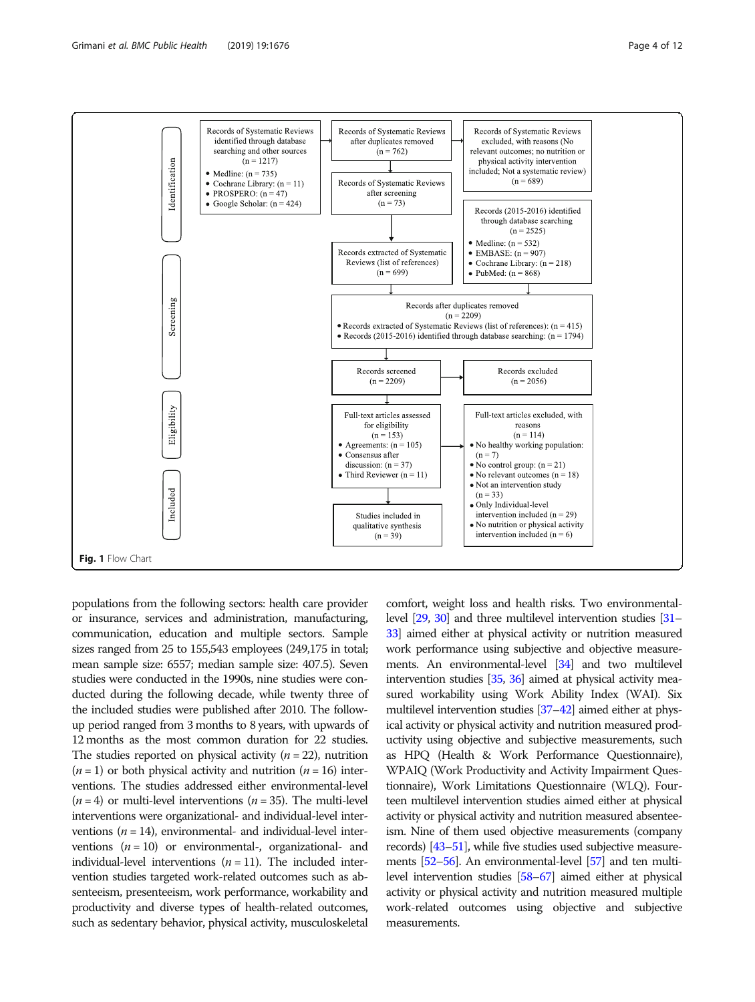

<span id="page-3-0"></span>

populations from the following sectors: health care provider or insurance, services and administration, manufacturing, communication, education and multiple sectors. Sample sizes ranged from 25 to 155,543 employees (249,175 in total; mean sample size: 6557; median sample size: 407.5). Seven studies were conducted in the 1990s, nine studies were conducted during the following decade, while twenty three of the included studies were published after 2010. The followup period ranged from 3 months to 8 years, with upwards of 12 months as the most common duration for 22 studies. The studies reported on physical activity  $(n = 22)$ , nutrition  $(n = 1)$  or both physical activity and nutrition  $(n = 16)$  interventions. The studies addressed either environmental-level  $(n = 4)$  or multi-level interventions  $(n = 35)$ . The multi-level interventions were organizational- and individual-level interventions  $(n = 14)$ , environmental- and individual-level interventions  $(n = 10)$  or environmental-, organizational- and individual-level interventions  $(n = 11)$ . The included intervention studies targeted work-related outcomes such as absenteeism, presenteeism, work performance, workability and productivity and diverse types of health-related outcomes, such as sedentary behavior, physical activity, musculoskeletal

comfort, weight loss and health risks. Two environmentallevel [\[29](#page-10-0), [30](#page-10-0)] and three multilevel intervention studies [\[31](#page-10-0)– [33](#page-10-0)] aimed either at physical activity or nutrition measured work performance using subjective and objective measurements. An environmental-level [[34\]](#page-10-0) and two multilevel intervention studies [\[35,](#page-10-0) [36](#page-11-0)] aimed at physical activity measured workability using Work Ability Index (WAI). Six multilevel intervention studies [[37](#page-11-0)–[42\]](#page-11-0) aimed either at physical activity or physical activity and nutrition measured productivity using objective and subjective measurements, such as HPQ (Health & Work Performance Questionnaire), WPAIQ (Work Productivity and Activity Impairment Questionnaire), Work Limitations Questionnaire (WLQ). Fourteen multilevel intervention studies aimed either at physical activity or physical activity and nutrition measured absenteeism. Nine of them used objective measurements (company records) [[43](#page-11-0)–[51](#page-11-0)], while five studies used subjective measurements [\[52](#page-11-0)–[56](#page-11-0)]. An environmental-level [\[57\]](#page-11-0) and ten multilevel intervention studies [\[58](#page-11-0)–[67](#page-11-0)] aimed either at physical activity or physical activity and nutrition measured multiple work-related outcomes using objective and subjective measurements.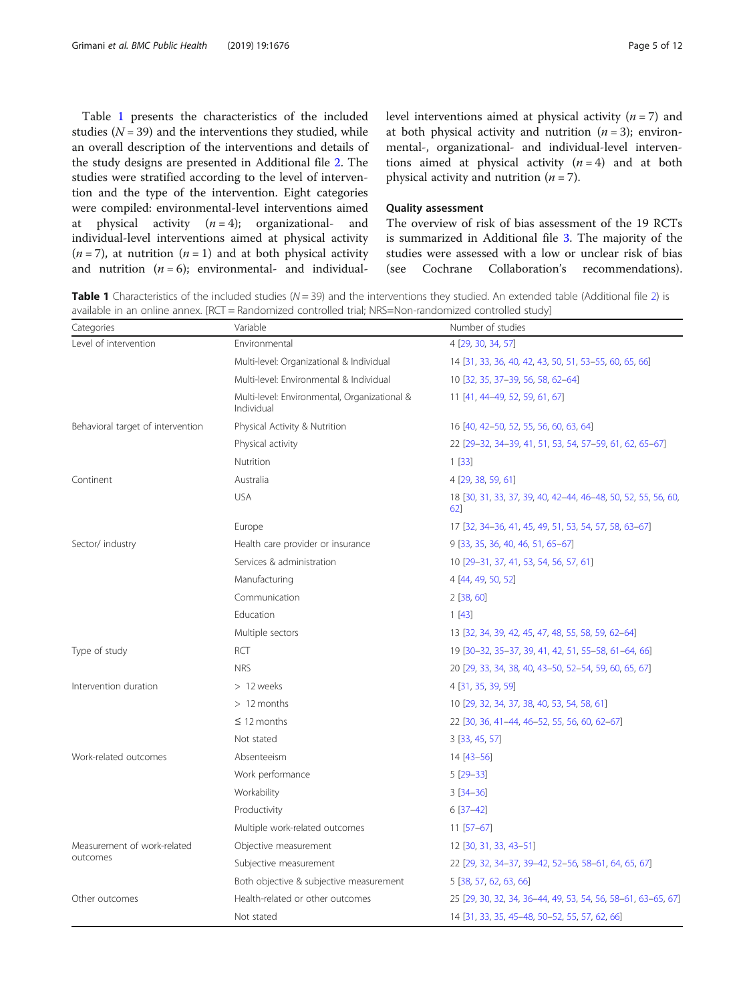Table 1 presents the characteristics of the included studies  $(N = 39)$  and the interventions they studied, while an overall description of the interventions and details of the study designs are presented in Additional file [2.](#page-9-0) The studies were stratified according to the level of intervention and the type of the intervention. Eight categories were compiled: environmental-level interventions aimed at physical activity  $(n = 4)$ ; organizational- and individual-level interventions aimed at physical activity  $(n=7)$ , at nutrition  $(n=1)$  and at both physical activity and nutrition  $(n = 6)$ ; environmental- and individuallevel interventions aimed at physical activity  $(n = 7)$  and at both physical activity and nutrition  $(n = 3)$ ; environmental-, organizational- and individual-level interventions aimed at physical activity  $(n = 4)$  and at both physical activity and nutrition  $(n = 7)$ .

# Quality assessment

The overview of risk of bias assessment of the 19 RCTs is summarized in Additional file [3](#page-9-0). The majority of the studies were assessed with a low or unclear risk of bias (see Cochrane Collaboration's recommendations).

**Table 1** Characteristics of the included studies ( $N = 39$ ) and the interventions they studied. An extended table (Additional file [2](#page-9-0)) is available in an online annex. [RCT = Randomized controlled trial; NRS=Non-randomized controlled study]

| Categories                        | Variable                                                   | Number of studies                                                   |
|-----------------------------------|------------------------------------------------------------|---------------------------------------------------------------------|
| Level of intervention             | Environmental                                              | 4 [29, 30, 34, 57]                                                  |
|                                   | Multi-level: Organizational & Individual                   | 14 [31, 33, 36, 40, 42, 43, 50, 51, 53-55, 60, 65, 66]              |
|                                   | Multi-level: Environmental & Individual                    | 10 [32, 35, 37-39, 56, 58, 62-64]                                   |
|                                   | Multi-level: Environmental, Organizational &<br>Individual | 11 [41, 44-49, 52, 59, 61, 67]                                      |
| Behavioral target of intervention | Physical Activity & Nutrition                              | 16 [40, 42-50, 52, 55, 56, 60, 63, 64]                              |
|                                   | Physical activity                                          | 22 [29-32, 34-39, 41, 51, 53, 54, 57-59, 61, 62, 65-67]             |
|                                   | Nutrition                                                  | 1[33]                                                               |
| Continent                         | Australia                                                  | 4 [29, 38, 59, 61]                                                  |
|                                   | <b>USA</b>                                                 | 18 [30, 31, 33, 37, 39, 40, 42-44, 46-48, 50, 52, 55, 56, 60,<br>62 |
|                                   | Europe                                                     | 17 [32, 34-36, 41, 45, 49, 51, 53, 54, 57, 58, 63-67]               |
| Sector/ industry                  | Health care provider or insurance                          | 9 [33, 35, 36, 40, 46, 51, 65-67]                                   |
|                                   | Services & administration                                  | 10 [29-31, 37, 41, 53, 54, 56, 57, 61]                              |
|                                   | Manufacturing                                              | 4 [44, 49, 50, 52]                                                  |
|                                   | Communication                                              | 2[38, 60]                                                           |
|                                   | Education                                                  | 1[43]                                                               |
|                                   | Multiple sectors                                           | 13 [32, 34, 39, 42, 45, 47, 48, 55, 58, 59, 62-64]                  |
| Type of study                     | RCT                                                        | 19 [30-32, 35-37, 39, 41, 42, 51, 55-58, 61-64, 66]                 |
|                                   | <b>NRS</b>                                                 | 20 [29, 33, 34, 38, 40, 43-50, 52-54, 59, 60, 65, 67]               |
| Intervention duration             | > 12 weeks                                                 | 4 [31, 35, 39, 59]                                                  |
|                                   | $>12$ months                                               | 10 [29, 32, 34, 37, 38, 40, 53, 54, 58, 61]                         |
|                                   | $\leq$ 12 months                                           | 22 [30, 36, 41-44, 46-52, 55, 56, 60, 62-67]                        |
|                                   | Not stated                                                 | 3[33, 45, 57]                                                       |
| Work-related outcomes             | Absenteeism                                                | $14 [43 - 56]$                                                      |
|                                   | Work performance                                           | $5[29-33]$                                                          |
|                                   | Workability                                                | $3 [34 - 36]$                                                       |
|                                   | Productivity                                               | $6[37-42]$                                                          |
|                                   | Multiple work-related outcomes                             | $11$ [57-67]                                                        |
| Measurement of work-related       | Objective measurement                                      | 12 [30, 31, 33, 43-51]                                              |
| outcomes                          | Subjective measurement                                     | 22 [29, 32, 34-37, 39-42, 52-56, 58-61, 64, 65, 67]                 |
|                                   | Both objective & subjective measurement                    | 5 [38, 57, 62, 63, 66]                                              |
| Other outcomes                    | Health-related or other outcomes                           | 25 [29, 30, 32, 34, 36-44, 49, 53, 54, 56, 58-61, 63-65, 67]        |
|                                   | Not stated                                                 | 14 [31, 33, 35, 45-48, 50-52, 55, 57, 62, 66]                       |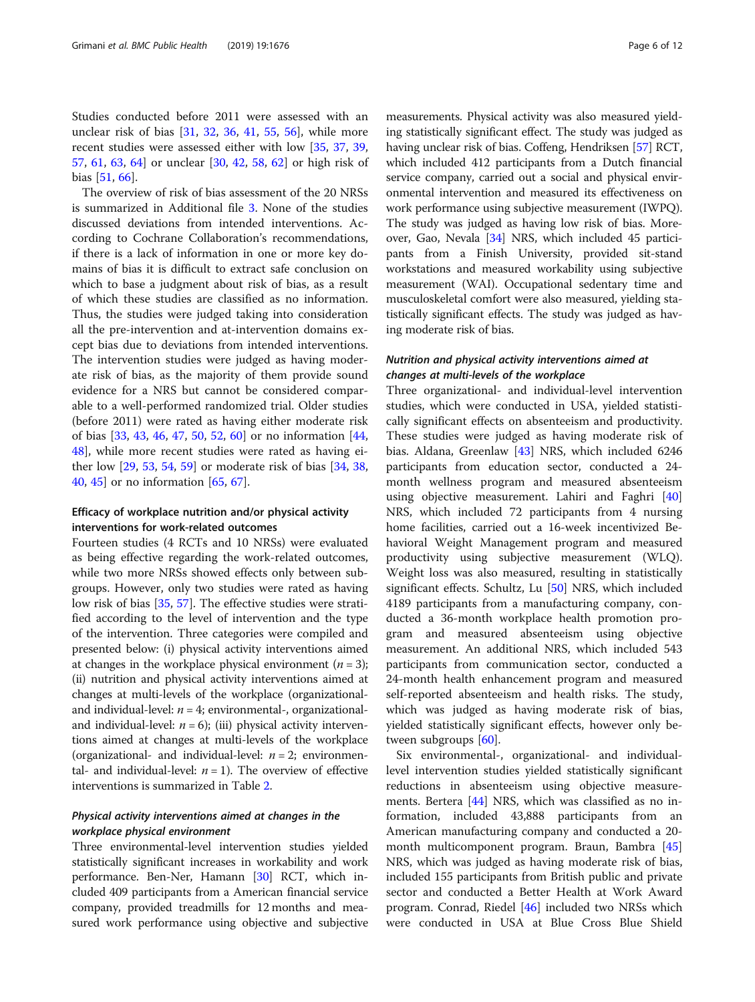Studies conducted before 2011 were assessed with an unclear risk of bias [[31](#page-10-0), [32](#page-10-0), [36](#page-11-0), [41](#page-11-0), [55](#page-11-0), [56](#page-11-0)], while more recent studies were assessed either with low [\[35](#page-10-0), [37,](#page-11-0) [39](#page-11-0), [57,](#page-11-0) [61,](#page-11-0) [63](#page-11-0), [64\]](#page-11-0) or unclear [\[30](#page-10-0), [42](#page-11-0), [58,](#page-11-0) [62](#page-11-0)] or high risk of bias [[51](#page-11-0), [66](#page-11-0)].

The overview of risk of bias assessment of the 20 NRSs is summarized in Additional file [3](#page-9-0). None of the studies discussed deviations from intended interventions. According to Cochrane Collaboration's recommendations, if there is a lack of information in one or more key domains of bias it is difficult to extract safe conclusion on which to base a judgment about risk of bias, as a result of which these studies are classified as no information. Thus, the studies were judged taking into consideration all the pre-intervention and at-intervention domains except bias due to deviations from intended interventions. The intervention studies were judged as having moderate risk of bias, as the majority of them provide sound evidence for a NRS but cannot be considered comparable to a well-performed randomized trial. Older studies (before 2011) were rated as having either moderate risk of bias [\[33](#page-10-0), [43](#page-11-0), [46,](#page-11-0) [47,](#page-11-0) [50,](#page-11-0) [52](#page-11-0), [60](#page-11-0)] or no information [[44](#page-11-0), [48\]](#page-11-0), while more recent studies were rated as having either low [\[29](#page-10-0), [53](#page-11-0), [54](#page-11-0), [59](#page-11-0)] or moderate risk of bias [[34](#page-10-0), [38](#page-11-0), [40,](#page-11-0) [45](#page-11-0)] or no information [\[65](#page-11-0), [67](#page-11-0)].

# Efficacy of workplace nutrition and/or physical activity interventions for work-related outcomes

Fourteen studies (4 RCTs and 10 NRSs) were evaluated as being effective regarding the work-related outcomes, while two more NRSs showed effects only between subgroups. However, only two studies were rated as having low risk of bias [[35](#page-10-0), [57](#page-11-0)]. The effective studies were stratified according to the level of intervention and the type of the intervention. Three categories were compiled and presented below: (i) physical activity interventions aimed at changes in the workplace physical environment  $(n = 3)$ ; (ii) nutrition and physical activity interventions aimed at changes at multi-levels of the workplace (organizationaland individual-level:  $n = 4$ ; environmental-, organizationaland individual-level:  $n = 6$ ); (iii) physical activity interventions aimed at changes at multi-levels of the workplace (organizational- and individual-level:  $n = 2$ ; environmental- and individual-level:  $n = 1$ ). The overview of effective interventions is summarized in Table [2.](#page-6-0)

# Physical activity interventions aimed at changes in the workplace physical environment

Three environmental-level intervention studies yielded statistically significant increases in workability and work performance. Ben-Ner, Hamann [[30](#page-10-0)] RCT, which included 409 participants from a American financial service company, provided treadmills for 12 months and measured work performance using objective and subjective

measurements. Physical activity was also measured yielding statistically significant effect. The study was judged as having unclear risk of bias. Coffeng, Hendriksen [\[57\]](#page-11-0) RCT, which included 412 participants from a Dutch financial service company, carried out a social and physical environmental intervention and measured its effectiveness on work performance using subjective measurement (IWPQ). The study was judged as having low risk of bias. Moreover, Gao, Nevala [\[34\]](#page-10-0) NRS, which included 45 participants from a Finish University, provided sit-stand workstations and measured workability using subjective measurement (WAI). Occupational sedentary time and musculoskeletal comfort were also measured, yielding statistically significant effects. The study was judged as having moderate risk of bias.

# Nutrition and physical activity interventions aimed at changes at multi-levels of the workplace

Three organizational- and individual-level intervention studies, which were conducted in USA, yielded statistically significant effects on absenteeism and productivity. These studies were judged as having moderate risk of bias. Aldana, Greenlaw [[43\]](#page-11-0) NRS, which included 6246 participants from education sector, conducted a 24 month wellness program and measured absenteeism using objective measurement. Lahiri and Faghri [[40](#page-11-0)] NRS, which included 72 participants from 4 nursing home facilities, carried out a 16-week incentivized Behavioral Weight Management program and measured productivity using subjective measurement (WLQ). Weight loss was also measured, resulting in statistically significant effects. Schultz, Lu [[50\]](#page-11-0) NRS, which included 4189 participants from a manufacturing company, conducted a 36-month workplace health promotion program and measured absenteeism using objective measurement. An additional NRS, which included 543 participants from communication sector, conducted a 24-month health enhancement program and measured self-reported absenteeism and health risks. The study, which was judged as having moderate risk of bias, yielded statistically significant effects, however only between subgroups [\[60\]](#page-11-0).

Six environmental-, organizational- and individuallevel intervention studies yielded statistically significant reductions in absenteeism using objective measurements. Bertera [\[44\]](#page-11-0) NRS, which was classified as no information, included 43,888 participants from an American manufacturing company and conducted a 20 month multicomponent program. Braun, Bambra [[45](#page-11-0)] NRS, which was judged as having moderate risk of bias, included 155 participants from British public and private sector and conducted a Better Health at Work Award program. Conrad, Riedel [[46\]](#page-11-0) included two NRSs which were conducted in USA at Blue Cross Blue Shield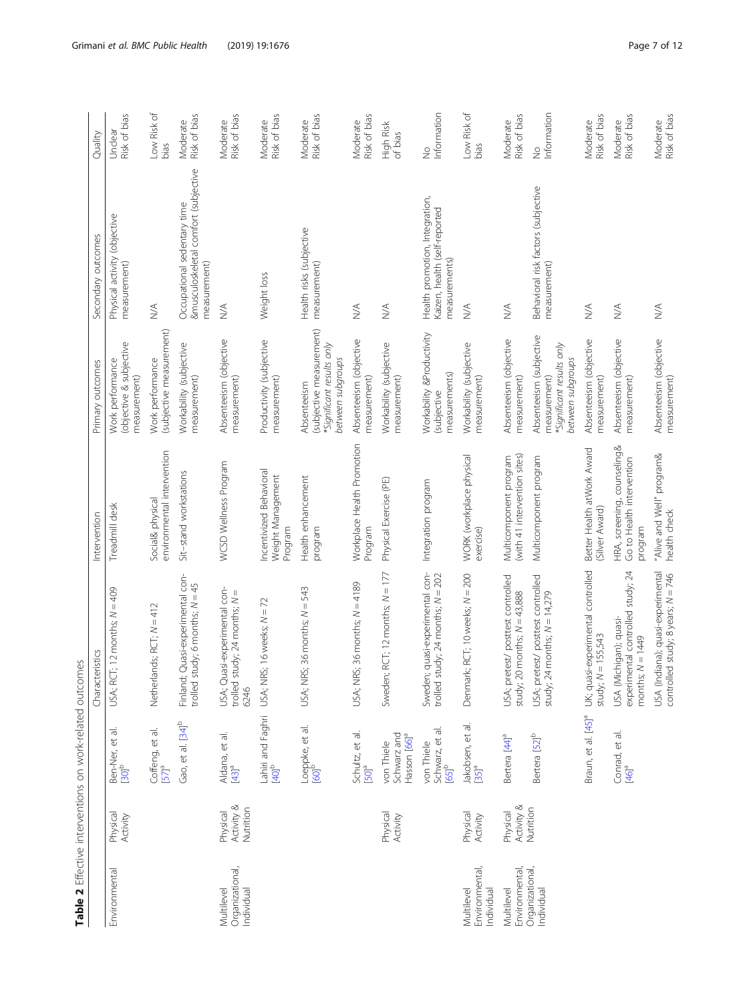<span id="page-6-0"></span>

|                                             |                                     | Table 2 Effective interventions on work-related outcomes                |                                                                                   |                                                                     |                                                                                           |                                                                                     |                              |
|---------------------------------------------|-------------------------------------|-------------------------------------------------------------------------|-----------------------------------------------------------------------------------|---------------------------------------------------------------------|-------------------------------------------------------------------------------------------|-------------------------------------------------------------------------------------|------------------------------|
|                                             |                                     |                                                                         | Characteristics                                                                   | Intervention                                                        | Primary outcomes                                                                          | Secondary outcomes                                                                  | Quality                      |
| Environmental                               | Physical<br>Activity                | $\overline{\sigma}$<br>Ben-Ner, et a<br>[30] <sup>b</sup>               | $Ti$ 12 months; $N = 409$<br>USA; RC                                              | Treadmill desk                                                      | (objective & subjective<br>Work performance<br>measurement)                               | Physical activity (objective<br>measurement)                                        | Risk of bias<br>Unclear      |
|                                             |                                     | Coffeng, et al.<br>57 <sup>a</sup>                                      | Netherlands; RCT; N = 412                                                         | environmental intervention<br>Social& physical                      | (subjective measurement)<br>Work performance                                              | $\leq$                                                                              | Low Risk of<br>bias          |
|                                             |                                     | Gao, et al. [34] <sup>b</sup>                                           | Quasi-experimental con-<br>trolled study; 6 months; $N = 45$<br>Finland;          | Sit-stand workstations                                              | Workability (subjective<br>measurement)                                                   | &musculoskeletal comfort (subjective<br>Occupational sedentary time<br>measurement) | Moderate<br>Risk of bias     |
| Organizational,<br>Multilevel<br>Individual | Activity &<br>Nutrition<br>Physical | Aldana, et al.<br>[43] <sup>a</sup>                                     | USA; Quasi-experimental con-<br>trolled study; 24 months; N =<br>6246             | WCSD Wellness Program                                               | Absenteeism (objective<br>measurement)                                                    | $\stackrel{\triangle}{\geq}$                                                        | Moderate<br>Risk of bias     |
|                                             |                                     | Lahiri and Faghri<br>[40] <sup>b</sup>                                  | USA; NRS; 16 weeks; N = 72                                                        | Incentivized Behavioral<br>Weight Management<br>Program             | Productivity (subjective<br>measurement)                                                  | Weight loss                                                                         | Risk of bias<br>Moderate     |
|                                             |                                     | Loeppke, et al.<br>[60] <sup>b</sup>                                    | USA; NRS; 36 months; N = 543                                                      | Health enhancement<br>program                                       | (subjective measurement)<br>*Significant results only<br>between subgroups<br>Absenteeism | Health risks (subjective<br>measurement)                                            | Moderate<br>Risk of bias     |
|                                             |                                     | Schultz, et al.<br>$[50]$ <sup>a</sup>                                  | USA; NRS; 36 months; $N = 4189$                                                   | Workplace Health Promotion<br>Program                               | Absenteeism (objective<br>measurement)                                                    | $\stackrel{\triangle}{\geq}$                                                        | Risk of bias<br>Moderate     |
|                                             | Physical<br>Activity                | Schwarz and<br>Hasson [66] <sup>a</sup><br>von Thiele                   | Sweden; RCT; 12 months; N = 177                                                   | Physical Exercise (PE)                                              | Workability (subjective<br>measurement)                                                   | $\leq$                                                                              | High Risk<br>of bias         |
|                                             |                                     | $\overline{\sigma}$<br>Schwarz, et a<br>[65] <sup>b</sup><br>von Thiele | Sweden; quasi-experimental con-<br>trolled study; 24 months; N = 202              | Integration program                                                 | Workability &Productivity<br>measurements)<br>(subjective                                 | Health promotion, Integration,<br>Kaizen, health (self-reported<br>measurements)    | Information<br>$\frac{1}{2}$ |
| Environmental,<br>Multilevel<br>Individual  | Physical<br>Activity                | Jakobsen, et al<br>$[35]$ <sup>a</sup>                                  | Denmark; RCT; 10 weeks; N = 200                                                   | WORK (workplace physical<br>exercise)                               | Workability (subjective<br>measurement)                                                   | $\stackrel{\triangleleft}{\geq}$                                                    | Low Risk of<br>bias          |
| Environmental<br>Multilevel                 | Activity &<br>Physical              | Bertera [44] <sup>a</sup>                                               | USA; pretest/ posttest controlled<br>study; 20 months; $N = 43,888$               | (with 41 intervention sites)<br>Multicomponent program              | Absenteeism (objective<br>measurement)                                                    | $\stackrel{\triangleleft}{\geq}$                                                    | Risk of bias<br>Moderate     |
| Organizational,<br>Individual               | Nutrition                           | Bertera [52] <sup>b</sup>                                               | USA; pretest/ posttest controlled<br>study; 24 months; N = 14,279                 | Multicomponent program                                              | Absenteeism (subjective<br>*Significant results only<br>between subgroups<br>measurement) | Behavioral risk factors (subjective<br>measurement)                                 | Information<br>$\frac{1}{2}$ |
|                                             |                                     | Braun, et al. [45] <sup>a</sup>                                         | UK; quasi-experimental controlled<br>$= 155,543$<br>study; N                      | Better Health atWork Award<br>Silver Award)                         | Absenteeism (objective<br>measurement)                                                    | $\leq$                                                                              | Risk of bias<br>Moderate     |
|                                             |                                     | Conrad, et al<br>46 <sup>a</sup>                                        | experimental controlled study; 24<br>USA (Michigan); quasi-<br>months; $N = 1449$ | HRA, screening, counseling&<br>Go to Health intervention<br>program | Absenteeism (objective<br>measurement)                                                    | $\lesssim$                                                                          | Risk of bias<br>Moderate     |
|                                             |                                     |                                                                         | USA (Indiana); quasi-experimental<br>controlled study; 8 years; N = 746           | 'Alive and Well" program&<br>health check                           | Absenteeism (objective<br>measurement)                                                    | $\stackrel{\triangleleft}{\geq}$                                                    | Risk of bias<br>Moderate     |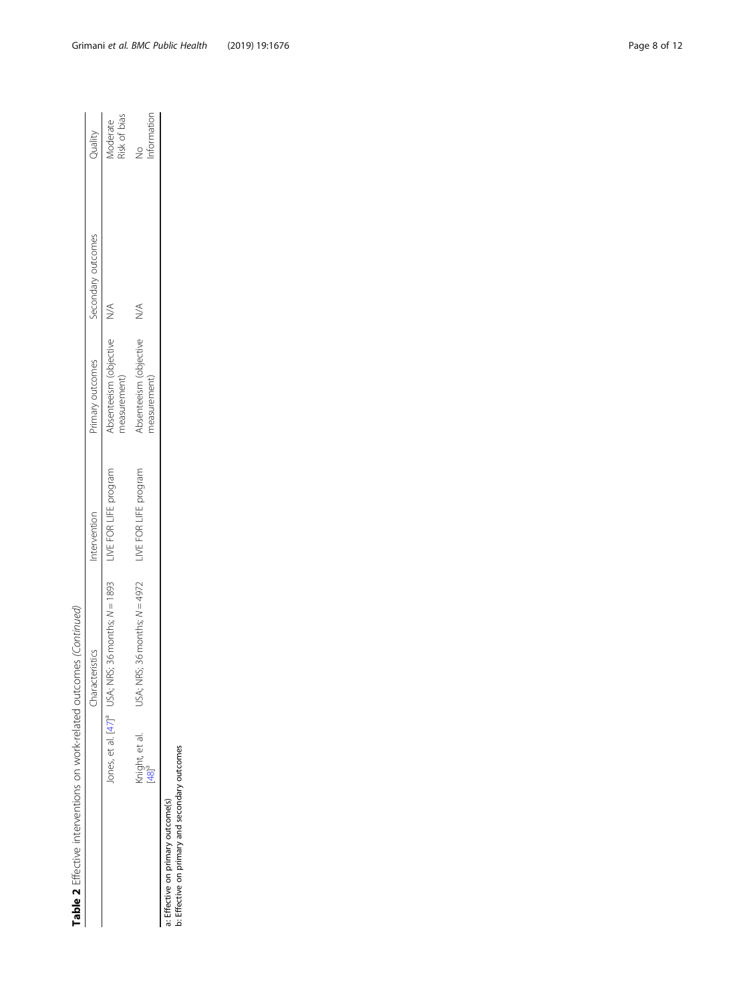| Table 2 Effective interventions on work-related outcomes (Continued)                |                                     |                                                                                     |                       |                                        |               |                          |
|-------------------------------------------------------------------------------------|-------------------------------------|-------------------------------------------------------------------------------------|-----------------------|----------------------------------------|---------------|--------------------------|
|                                                                                     |                                     | Characteristics                                                                     | Intervention          | Primary outcomes Secondary outcomes    |               | Quality                  |
|                                                                                     |                                     | Jones, et al. [47] <sup>a</sup> USA; NRS; 36 months; N = 1893 LIVE FOR LIFE program |                       | Absenteeism (objective<br>measurement) |               | Risk of bias<br>Moderate |
|                                                                                     | Knight, et al.<br>[48] <sup>a</sup> | USA; NRS; 36 months; $N = 4972$                                                     | LIVE FOR LIFE program | Absenteeism (objective<br>measurement) | $\frac{1}{2}$ | Information<br>$\geq$    |
| b: Effective on primary and secondary outcomes<br>: Effective on primary outcome(s) |                                     |                                                                                     |                       |                                        |               |                          |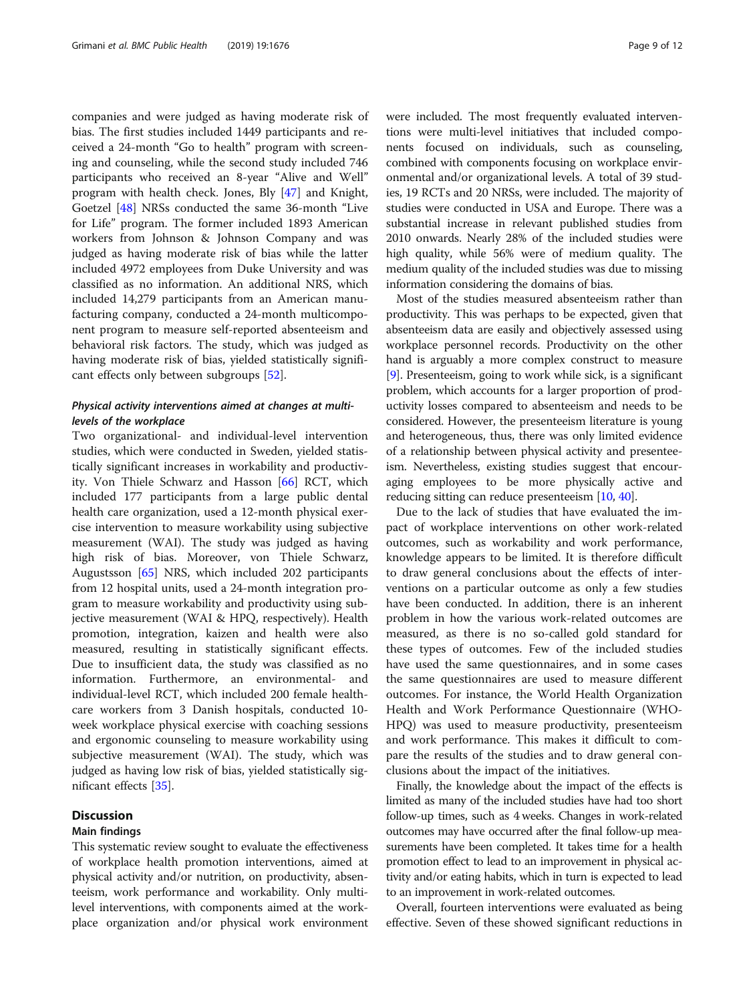companies and were judged as having moderate risk of bias. The first studies included 1449 participants and received a 24-month "Go to health" program with screening and counseling, while the second study included 746 participants who received an 8-year "Alive and Well" program with health check. Jones, Bly [[47](#page-11-0)] and Knight, Goetzel [[48\]](#page-11-0) NRSs conducted the same 36-month "Live for Life" program. The former included 1893 American workers from Johnson & Johnson Company and was judged as having moderate risk of bias while the latter included 4972 employees from Duke University and was classified as no information. An additional NRS, which included 14,279 participants from an American manufacturing company, conducted a 24-month multicomponent program to measure self-reported absenteeism and behavioral risk factors. The study, which was judged as having moderate risk of bias, yielded statistically significant effects only between subgroups [\[52\]](#page-11-0).

# Physical activity interventions aimed at changes at multilevels of the workplace

Two organizational- and individual-level intervention studies, which were conducted in Sweden, yielded statistically significant increases in workability and productivity. Von Thiele Schwarz and Hasson [\[66](#page-11-0)] RCT, which included 177 participants from a large public dental health care organization, used a 12-month physical exercise intervention to measure workability using subjective measurement (WAI). The study was judged as having high risk of bias. Moreover, von Thiele Schwarz, Augustsson [[65\]](#page-11-0) NRS, which included 202 participants from 12 hospital units, used a 24-month integration program to measure workability and productivity using subjective measurement (WAI & HPQ, respectively). Health promotion, integration, kaizen and health were also measured, resulting in statistically significant effects. Due to insufficient data, the study was classified as no information. Furthermore, an environmental- and individual-level RCT, which included 200 female healthcare workers from 3 Danish hospitals, conducted 10 week workplace physical exercise with coaching sessions and ergonomic counseling to measure workability using subjective measurement (WAI). The study, which was judged as having low risk of bias, yielded statistically significant effects [\[35](#page-10-0)].

# **Discussion**

# Main findings

This systematic review sought to evaluate the effectiveness of workplace health promotion interventions, aimed at physical activity and/or nutrition, on productivity, absenteeism, work performance and workability. Only multilevel interventions, with components aimed at the workplace organization and/or physical work environment were included. The most frequently evaluated interventions were multi-level initiatives that included components focused on individuals, such as counseling, combined with components focusing on workplace environmental and/or organizational levels. A total of 39 studies, 19 RCTs and 20 NRSs, were included. The majority of studies were conducted in USA and Europe. There was a substantial increase in relevant published studies from 2010 onwards. Nearly 28% of the included studies were high quality, while 56% were of medium quality. The medium quality of the included studies was due to missing information considering the domains of bias.

Most of the studies measured absenteeism rather than productivity. This was perhaps to be expected, given that absenteeism data are easily and objectively assessed using workplace personnel records. Productivity on the other hand is arguably a more complex construct to measure [[9\]](#page-10-0). Presenteeism, going to work while sick, is a significant problem, which accounts for a larger proportion of productivity losses compared to absenteeism and needs to be considered. However, the presenteeism literature is young and heterogeneous, thus, there was only limited evidence of a relationship between physical activity and presenteeism. Nevertheless, existing studies suggest that encouraging employees to be more physically active and reducing sitting can reduce presenteeism [[10](#page-10-0), [40\]](#page-11-0).

Due to the lack of studies that have evaluated the impact of workplace interventions on other work-related outcomes, such as workability and work performance, knowledge appears to be limited. It is therefore difficult to draw general conclusions about the effects of interventions on a particular outcome as only a few studies have been conducted. In addition, there is an inherent problem in how the various work-related outcomes are measured, as there is no so-called gold standard for these types of outcomes. Few of the included studies have used the same questionnaires, and in some cases the same questionnaires are used to measure different outcomes. For instance, the World Health Organization Health and Work Performance Questionnaire (WHO-HPQ) was used to measure productivity, presenteeism and work performance. This makes it difficult to compare the results of the studies and to draw general conclusions about the impact of the initiatives.

Finally, the knowledge about the impact of the effects is limited as many of the included studies have had too short follow-up times, such as 4 weeks. Changes in work-related outcomes may have occurred after the final follow-up measurements have been completed. It takes time for a health promotion effect to lead to an improvement in physical activity and/or eating habits, which in turn is expected to lead to an improvement in work-related outcomes.

Overall, fourteen interventions were evaluated as being effective. Seven of these showed significant reductions in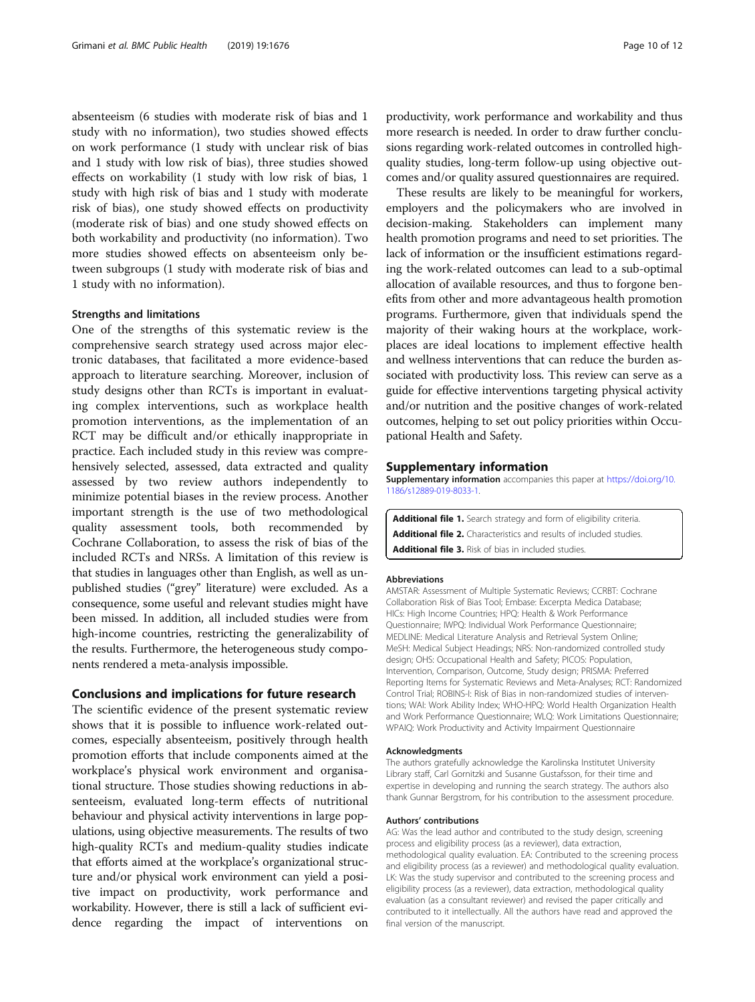<span id="page-9-0"></span>absenteeism (6 studies with moderate risk of bias and 1 study with no information), two studies showed effects on work performance (1 study with unclear risk of bias and 1 study with low risk of bias), three studies showed effects on workability (1 study with low risk of bias, 1 study with high risk of bias and 1 study with moderate risk of bias), one study showed effects on productivity (moderate risk of bias) and one study showed effects on both workability and productivity (no information). Two more studies showed effects on absenteeism only between subgroups (1 study with moderate risk of bias and 1 study with no information).

## Strengths and limitations

One of the strengths of this systematic review is the comprehensive search strategy used across major electronic databases, that facilitated a more evidence-based approach to literature searching. Moreover, inclusion of study designs other than RCTs is important in evaluating complex interventions, such as workplace health promotion interventions, as the implementation of an RCT may be difficult and/or ethically inappropriate in practice. Each included study in this review was comprehensively selected, assessed, data extracted and quality assessed by two review authors independently to minimize potential biases in the review process. Another important strength is the use of two methodological quality assessment tools, both recommended by Cochrane Collaboration, to assess the risk of bias of the included RCTs and NRSs. A limitation of this review is that studies in languages other than English, as well as unpublished studies ("grey" literature) were excluded. As a consequence, some useful and relevant studies might have been missed. In addition, all included studies were from high-income countries, restricting the generalizability of the results. Furthermore, the heterogeneous study components rendered a meta-analysis impossible.

## Conclusions and implications for future research

The scientific evidence of the present systematic review shows that it is possible to influence work-related outcomes, especially absenteeism, positively through health promotion efforts that include components aimed at the workplace's physical work environment and organisational structure. Those studies showing reductions in absenteeism, evaluated long-term effects of nutritional behaviour and physical activity interventions in large populations, using objective measurements. The results of two high-quality RCTs and medium-quality studies indicate that efforts aimed at the workplace's organizational structure and/or physical work environment can yield a positive impact on productivity, work performance and workability. However, there is still a lack of sufficient evidence regarding the impact of interventions on

productivity, work performance and workability and thus more research is needed. In order to draw further conclusions regarding work-related outcomes in controlled highquality studies, long-term follow-up using objective outcomes and/or quality assured questionnaires are required.

These results are likely to be meaningful for workers, employers and the policymakers who are involved in decision-making. Stakeholders can implement many health promotion programs and need to set priorities. The lack of information or the insufficient estimations regarding the work-related outcomes can lead to a sub-optimal allocation of available resources, and thus to forgone benefits from other and more advantageous health promotion programs. Furthermore, given that individuals spend the majority of their waking hours at the workplace, workplaces are ideal locations to implement effective health and wellness interventions that can reduce the burden associated with productivity loss. This review can serve as a guide for effective interventions targeting physical activity and/or nutrition and the positive changes of work-related outcomes, helping to set out policy priorities within Occupational Health and Safety.

## Supplementary information

Supplementary information accompanies this paper at [https://doi.org/10.](https://doi.org/10.1186/s12889-019-8033-1) [1186/s12889-019-8033-1.](https://doi.org/10.1186/s12889-019-8033-1)

Additional file 1. Search strategy and form of eligibility criteria. Additional file 2. Characteristics and results of included studies. Additional file 3. Risk of bias in included studies.

#### Abbreviations

AMSTAR: Assessment of Multiple Systematic Reviews; CCRBT: Cochrane Collaboration Risk of Bias Tool; Embase: Excerpta Medica Database; HICs: High Income Countries; HPQ: Health & Work Performance Questionnaire; IWPQ: Individual Work Performance Questionnaire; MEDLINE: Medical Literature Analysis and Retrieval System Online; MeSH: Medical Subject Headings; NRS: Non-randomized controlled study design; OHS: Occupational Health and Safety; PICOS: Population, Intervention, Comparison, Outcome, Study design; PRISMA: Preferred Reporting Items for Systematic Reviews and Meta-Analyses; RCT: Randomized Control Trial; ROBINS-I: Risk of Bias in non-randomized studies of interventions; WAI: Work Ability Index; WHO-HPQ: World Health Organization Health and Work Performance Questionnaire; WLQ: Work Limitations Questionnaire; WPAIQ: Work Productivity and Activity Impairment Questionnaire

#### Acknowledgments

The authors gratefully acknowledge the Karolinska Institutet University Library staff, Carl Gornitzki and Susanne Gustafsson, for their time and expertise in developing and running the search strategy. The authors also thank Gunnar Bergstrom, for his contribution to the assessment procedure.

#### Authors' contributions

AG: Was the lead author and contributed to the study design, screening process and eligibility process (as a reviewer), data extraction, methodological quality evaluation. EA: Contributed to the screening process and eligibility process (as a reviewer) and methodological quality evaluation. LK: Was the study supervisor and contributed to the screening process and eligibility process (as a reviewer), data extraction, methodological quality evaluation (as a consultant reviewer) and revised the paper critically and contributed to it intellectually. All the authors have read and approved the final version of the manuscript.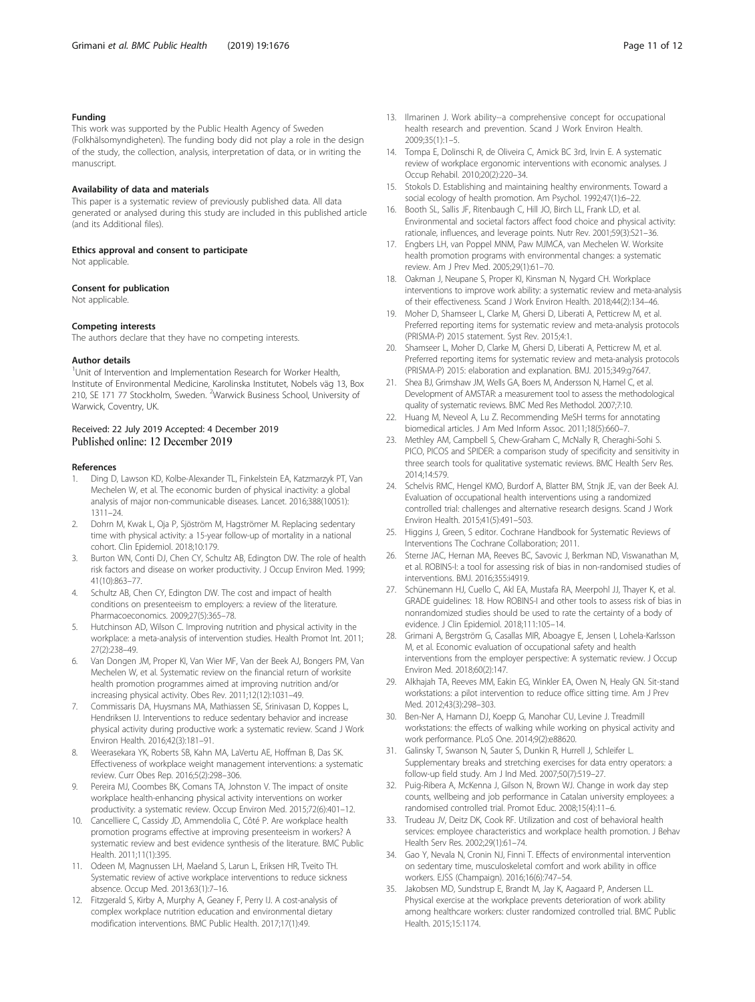## <span id="page-10-0"></span>Funding

This work was supported by the Public Health Agency of Sweden (Folkhälsomyndigheten). The funding body did not play a role in the design of the study, the collection, analysis, interpretation of data, or in writing the manuscript.

#### Availability of data and materials

This paper is a systematic review of previously published data. All data generated or analysed during this study are included in this published article (and its Additional files).

# Ethics approval and consent to participate

Not applicable.

## Consent for publication

Not applicable.

#### Competing interests

The authors declare that they have no competing interests.

#### Author details

<sup>1</sup>Unit of Intervention and Implementation Research for Worker Health, Institute of Environmental Medicine, Karolinska Institutet, Nobels väg 13, Box 210, SE 171 77 Stockholm, Sweden. <sup>2</sup>Warwick Business School, University of Warwick, Coventry, UK.

## Received: 22 July 2019 Accepted: 4 December 2019 Published online: 12 December 2019

#### References

- 1. Ding D, Lawson KD, Kolbe-Alexander TL, Finkelstein EA, Katzmarzyk PT, Van Mechelen W, et al. The economic burden of physical inactivity: a global analysis of major non-communicable diseases. Lancet. 2016;388(10051): 1311–24.
- 2. Dohrn M, Kwak L, Oja P, Sjöström M, Hagströmer M. Replacing sedentary time with physical activity: a 15-year follow-up of mortality in a national cohort. Clin Epidemiol. 2018;10:179.
- 3. Burton WN, Conti DJ, Chen CY, Schultz AB, Edington DW. The role of health risk factors and disease on worker productivity. J Occup Environ Med. 1999; 41(10):863–77.
- 4. Schultz AB, Chen CY, Edington DW. The cost and impact of health conditions on presenteeism to employers: a review of the literature. Pharmacoeconomics. 2009;27(5):365–78.
- 5. Hutchinson AD, Wilson C. Improving nutrition and physical activity in the workplace: a meta-analysis of intervention studies. Health Promot Int. 2011; 27(2):238–49.
- 6. Van Dongen JM, Proper KI, Van Wier MF, Van der Beek AJ, Bongers PM, Van Mechelen W, et al. Systematic review on the financial return of worksite health promotion programmes aimed at improving nutrition and/or increasing physical activity. Obes Rev. 2011;12(12):1031–49.
- 7. Commissaris DA, Huysmans MA, Mathiassen SE, Srinivasan D, Koppes L, Hendriksen IJ. Interventions to reduce sedentary behavior and increase physical activity during productive work: a systematic review. Scand J Work Environ Health. 2016;42(3):181–91.
- 8. Weerasekara YK, Roberts SB, Kahn MA, LaVertu AE, Hoffman B, Das SK. Effectiveness of workplace weight management interventions: a systematic review. Curr Obes Rep. 2016;5(2):298–306.
- Pereira MJ, Coombes BK, Comans TA, Johnston V. The impact of onsite workplace health-enhancing physical activity interventions on worker productivity: a systematic review. Occup Environ Med. 2015;72(6):401–12.
- 10. Cancelliere C, Cassidy JD, Ammendolia C, Côté P. Are workplace health promotion programs effective at improving presenteeism in workers? A systematic review and best evidence synthesis of the literature. BMC Public Health. 2011;11(1):395.
- 11. Odeen M, Magnussen LH, Maeland S, Larun L, Eriksen HR, Tveito TH. Systematic review of active workplace interventions to reduce sickness absence. Occup Med. 2013;63(1):7–16.
- 12. Fitzgerald S, Kirby A, Murphy A, Geaney F, Perry IJ. A cost-analysis of complex workplace nutrition education and environmental dietary modification interventions. BMC Public Health. 2017;17(1):49.
- 13. Ilmarinen J. Work ability--a comprehensive concept for occupational health research and prevention. Scand J Work Environ Health. 2009;35(1):1–5.
- 14. Tompa E, Dolinschi R, de Oliveira C, Amick BC 3rd, Irvin E. A systematic review of workplace ergonomic interventions with economic analyses. J Occup Rehabil. 2010;20(2):220–34.
- 15. Stokols D. Establishing and maintaining healthy environments. Toward a social ecology of health promotion. Am Psychol. 1992;47(1):6–22.
- 16. Booth SL, Sallis JF, Ritenbaugh C, Hill JO, Birch LL, Frank LD, et al. Environmental and societal factors affect food choice and physical activity: rationale, influences, and leverage points. Nutr Rev. 2001;59(3):S21–36.
- 17. Engbers LH, van Poppel MNM, Paw MJMCA, van Mechelen W. Worksite health promotion programs with environmental changes: a systematic review. Am J Prev Med. 2005;29(1):61–70.
- 18. Oakman J, Neupane S, Proper KI, Kinsman N, Nygard CH. Workplace interventions to improve work ability: a systematic review and meta-analysis of their effectiveness. Scand J Work Environ Health. 2018;44(2):134–46.
- 19. Moher D, Shamseer L, Clarke M, Ghersi D, Liberati A, Petticrew M, et al. Preferred reporting items for systematic review and meta-analysis protocols (PRISMA-P) 2015 statement. Syst Rev. 2015;4:1.
- 20. Shamseer L, Moher D, Clarke M, Ghersi D, Liberati A, Petticrew M, et al. Preferred reporting items for systematic review and meta-analysis protocols (PRISMA-P) 2015: elaboration and explanation. BMJ. 2015;349:g7647.
- 21. Shea BJ, Grimshaw JM, Wells GA, Boers M, Andersson N, Hamel C, et al. Development of AMSTAR: a measurement tool to assess the methodological quality of systematic reviews. BMC Med Res Methodol. 2007;7:10.
- 22. Huang M, Neveol A, Lu Z. Recommending MeSH terms for annotating biomedical articles. J Am Med Inform Assoc. 2011;18(5):660–7.
- 23. Methley AM, Campbell S, Chew-Graham C, McNally R, Cheraghi-Sohi S. PICO, PICOS and SPIDER: a comparison study of specificity and sensitivity in three search tools for qualitative systematic reviews. BMC Health Serv Res. 2014;14:579.
- 24. Schelvis RMC, Hengel KMO, Burdorf A, Blatter BM, Stnjk JE, van der Beek AJ. Evaluation of occupational health interventions using a randomized controlled trial: challenges and alternative research designs. Scand J Work Environ Health. 2015;41(5):491–503.
- 25. Higgins J, Green, S editor. Cochrane Handbook for Systematic Reviews of Interventions The Cochrane Collaboration; 2011.
- 26. Sterne JAC, Hernan MA, Reeves BC, Savovic J, Berkman ND, Viswanathan M, et al. ROBINS-I: a tool for assessing risk of bias in non-randomised studies of interventions. BMJ. 2016;355:i4919.
- 27. Schünemann HJ, Cuello C, Akl EA, Mustafa RA, Meerpohl JJ, Thayer K, et al. GRADE guidelines: 18. How ROBINS-I and other tools to assess risk of bias in nonrandomized studies should be used to rate the certainty of a body of evidence. J Clin Epidemiol. 2018;111:105–14.
- 28. Grimani A, Bergström G, Casallas MIR, Aboagye E, Jensen I, Lohela-Karlsson M, et al. Economic evaluation of occupational safety and health interventions from the employer perspective: A systematic review. J Occup Environ Med. 2018;60(2):147.
- 29. Alkhajah TA, Reeves MM, Eakin EG, Winkler EA, Owen N, Healy GN. Sit-stand workstations: a pilot intervention to reduce office sitting time. Am J Prev Med. 2012;43(3):298–303.
- 30. Ben-Ner A, Hamann DJ, Koepp G, Manohar CU, Levine J. Treadmill workstations: the effects of walking while working on physical activity and work performance. PLoS One. 2014;9(2):e88620.
- 31. Galinsky T, Swanson N, Sauter S, Dunkin R, Hurrell J, Schleifer L. Supplementary breaks and stretching exercises for data entry operators: a follow-up field study. Am J Ind Med. 2007;50(7):519–27.
- 32. Puig-Ribera A, McKenna J, Gilson N, Brown WJ. Change in work day step counts, wellbeing and job performance in Catalan university employees: a randomised controlled trial. Promot Educ. 2008;15(4):11–6.
- 33. Trudeau JV, Deitz DK, Cook RF. Utilization and cost of behavioral health services: employee characteristics and workplace health promotion. J Behav Health Serv Res. 2002;29(1):61–74.
- 34. Gao Y, Nevala N, Cronin NJ, Finni T. Effects of environmental intervention on sedentary time, musculoskeletal comfort and work ability in office workers. EJSS (Champaign). 2016;16(6):747–54.
- 35. Jakobsen MD, Sundstrup E, Brandt M, Jay K, Aagaard P, Andersen LL. Physical exercise at the workplace prevents deterioration of work ability among healthcare workers: cluster randomized controlled trial. BMC Public Health. 2015;15:1174.